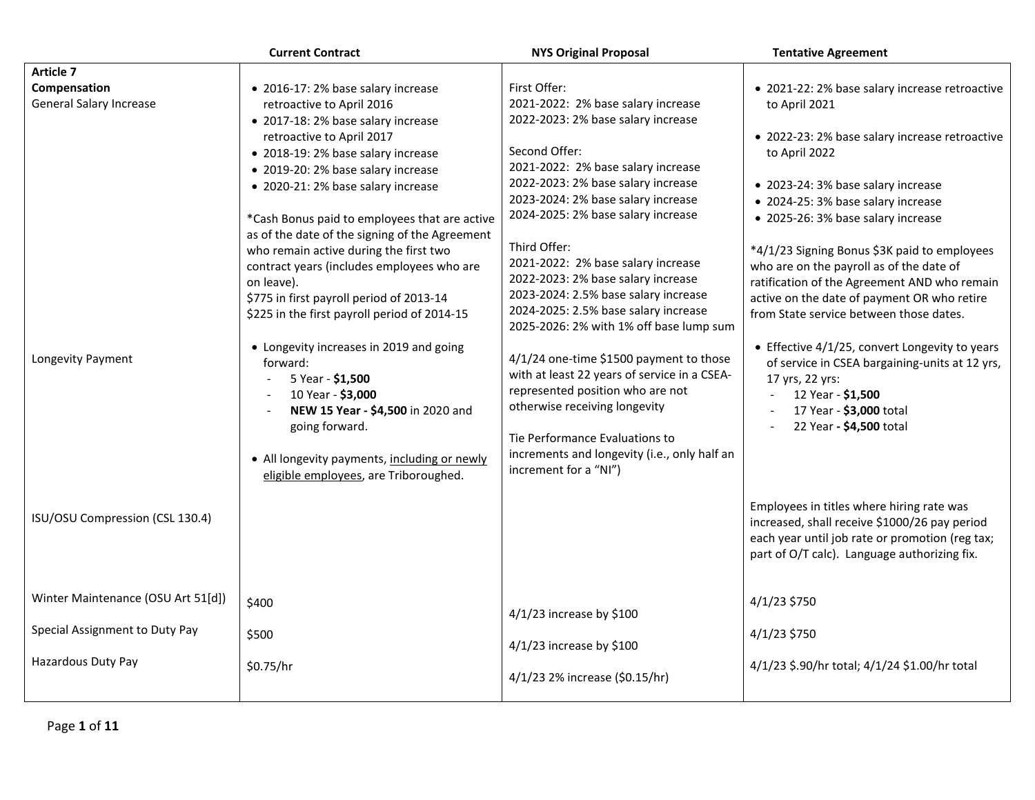|                                    | <b>Current Contract</b>                                                                  | <b>NYS Original Proposal</b>                 | <b>Tentative Agreement</b>                                                             |
|------------------------------------|------------------------------------------------------------------------------------------|----------------------------------------------|----------------------------------------------------------------------------------------|
| Article 7                          |                                                                                          |                                              |                                                                                        |
| Compensation                       | • 2016-17: 2% base salary increase                                                       | First Offer:                                 | • 2021-22: 2% base salary increase retroactive                                         |
| <b>General Salary Increase</b>     | retroactive to April 2016                                                                | 2021-2022: 2% base salary increase           | to April 2021                                                                          |
|                                    | • 2017-18: 2% base salary increase                                                       | 2022-2023: 2% base salary increase           |                                                                                        |
|                                    | retroactive to April 2017                                                                |                                              | • 2022-23: 2% base salary increase retroactive                                         |
|                                    | • 2018-19: 2% base salary increase                                                       | Second Offer:                                | to April 2022                                                                          |
|                                    | • 2019-20: 2% base salary increase                                                       | 2021-2022: 2% base salary increase           |                                                                                        |
|                                    | • 2020-21: 2% base salary increase                                                       | 2022-2023: 2% base salary increase           | • 2023-24: 3% base salary increase                                                     |
|                                    |                                                                                          | 2023-2024: 2% base salary increase           | • 2024-25: 3% base salary increase                                                     |
|                                    | *Cash Bonus paid to employees that are active                                            | 2024-2025: 2% base salary increase           | • 2025-26: 3% base salary increase                                                     |
|                                    | as of the date of the signing of the Agreement                                           | Third Offer:                                 |                                                                                        |
|                                    | who remain active during the first two                                                   | 2021-2022: 2% base salary increase           | *4/1/23 Signing Bonus \$3K paid to employees                                           |
|                                    | contract years (includes employees who are                                               | 2022-2023: 2% base salary increase           | who are on the payroll as of the date of                                               |
|                                    | on leave).                                                                               | 2023-2024: 2.5% base salary increase         | ratification of the Agreement AND who remain                                           |
|                                    | \$775 in first payroll period of 2013-14<br>\$225 in the first payroll period of 2014-15 | 2024-2025: 2.5% base salary increase         | active on the date of payment OR who retire<br>from State service between those dates. |
|                                    |                                                                                          | 2025-2026: 2% with 1% off base lump sum      |                                                                                        |
|                                    | • Longevity increases in 2019 and going                                                  |                                              | • Effective 4/1/25, convert Longevity to years                                         |
| Longevity Payment                  | forward:                                                                                 | 4/1/24 one-time \$1500 payment to those      | of service in CSEA bargaining-units at 12 yrs,                                         |
|                                    | 5 Year - \$1,500                                                                         | with at least 22 years of service in a CSEA- | 17 yrs, 22 yrs:                                                                        |
|                                    | 10 Year - \$3,000                                                                        | represented position who are not             | 12 Year - \$1,500                                                                      |
|                                    | NEW 15 Year - \$4,500 in 2020 and                                                        | otherwise receiving longevity                | 17 Year - \$3,000 total                                                                |
|                                    | going forward.                                                                           |                                              | 22 Year - \$4,500 total<br>$\sim$                                                      |
|                                    |                                                                                          | Tie Performance Evaluations to               |                                                                                        |
|                                    | • All longevity payments, including or newly                                             | increments and longevity (i.e., only half an |                                                                                        |
|                                    | eligible employees, are Triboroughed.                                                    | increment for a "NI")                        |                                                                                        |
|                                    |                                                                                          |                                              |                                                                                        |
| ISU/OSU Compression (CSL 130.4)    |                                                                                          |                                              | Employees in titles where hiring rate was                                              |
|                                    |                                                                                          |                                              | increased, shall receive \$1000/26 pay period                                          |
|                                    |                                                                                          |                                              | each year until job rate or promotion (reg tax;                                        |
|                                    |                                                                                          |                                              | part of O/T calc). Language authorizing fix.                                           |
|                                    |                                                                                          |                                              |                                                                                        |
| Winter Maintenance (OSU Art 51[d]) | \$400                                                                                    |                                              | 4/1/23 \$750                                                                           |
|                                    |                                                                                          | 4/1/23 increase by \$100                     |                                                                                        |
| Special Assignment to Duty Pay     | \$500                                                                                    |                                              | 4/1/23 \$750                                                                           |
|                                    |                                                                                          | 4/1/23 increase by \$100                     |                                                                                        |
| Hazardous Duty Pay                 | \$0.75/hr                                                                                |                                              | 4/1/23 \$.90/hr total; 4/1/24 \$1.00/hr total                                          |
|                                    |                                                                                          | 4/1/23 2% increase (\$0.15/hr)               |                                                                                        |
|                                    |                                                                                          |                                              |                                                                                        |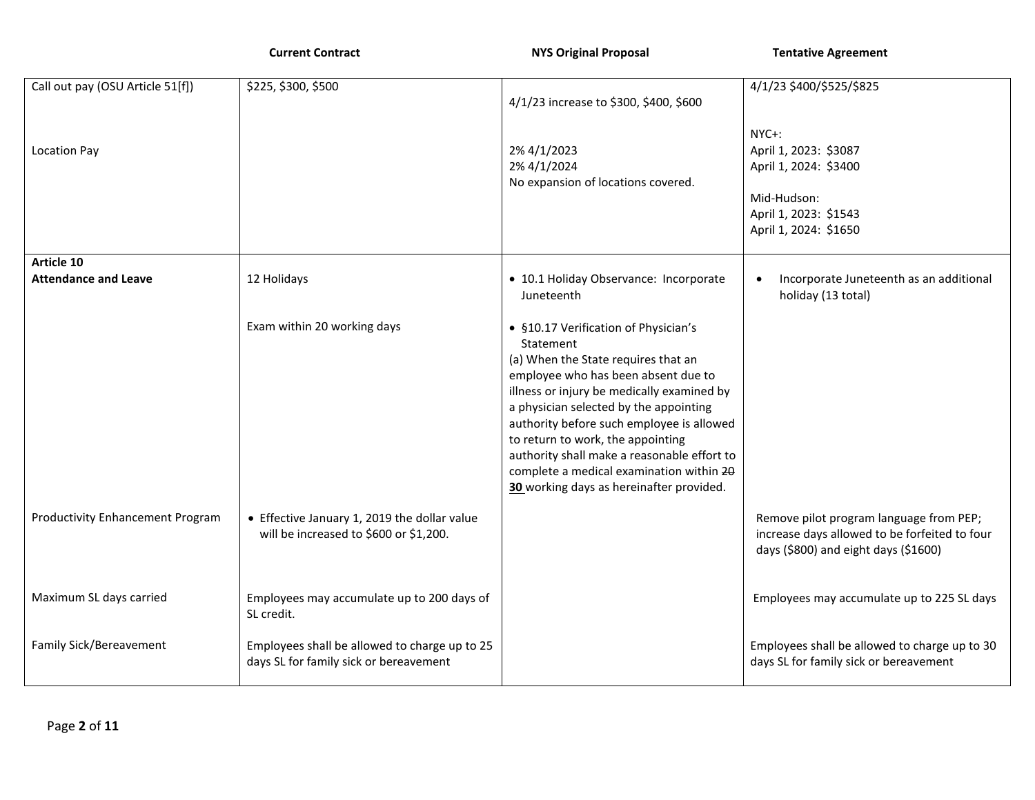**Current Contract Contract 2006 100 NYS Original Proposal Tentative Agreement** 

| Call out pay (OSU Article 51[f])        | \$225, \$300, \$500                           |                                                   | 4/1/23 \$400/\$525/\$825                                                                 |
|-----------------------------------------|-----------------------------------------------|---------------------------------------------------|------------------------------------------------------------------------------------------|
|                                         |                                               | 4/1/23 increase to \$300, \$400, \$600            |                                                                                          |
|                                         |                                               |                                                   |                                                                                          |
|                                         |                                               |                                                   | NYC+:                                                                                    |
| <b>Location Pay</b>                     |                                               | 2% 4/1/2023                                       | April 1, 2023: \$3087                                                                    |
|                                         |                                               | 2% 4/1/2024<br>No expansion of locations covered. | April 1, 2024: \$3400                                                                    |
|                                         |                                               |                                                   | Mid-Hudson:                                                                              |
|                                         |                                               |                                                   | April 1, 2023: \$1543                                                                    |
|                                         |                                               |                                                   | April 1, 2024: \$1650                                                                    |
|                                         |                                               |                                                   |                                                                                          |
| Article 10                              |                                               |                                                   |                                                                                          |
| <b>Attendance and Leave</b>             | 12 Holidays                                   | · 10.1 Holiday Observance: Incorporate            | Incorporate Juneteenth as an additional                                                  |
|                                         |                                               | Juneteenth                                        | holiday (13 total)                                                                       |
|                                         |                                               |                                                   |                                                                                          |
|                                         | Exam within 20 working days                   | • §10.17 Verification of Physician's              |                                                                                          |
|                                         |                                               | Statement<br>(a) When the State requires that an  |                                                                                          |
|                                         |                                               | employee who has been absent due to               |                                                                                          |
|                                         |                                               | illness or injury be medically examined by        |                                                                                          |
|                                         |                                               | a physician selected by the appointing            |                                                                                          |
|                                         |                                               | authority before such employee is allowed         |                                                                                          |
|                                         |                                               | to return to work, the appointing                 |                                                                                          |
|                                         |                                               | authority shall make a reasonable effort to       |                                                                                          |
|                                         |                                               | complete a medical examination within 20          |                                                                                          |
|                                         |                                               | 30 working days as hereinafter provided.          |                                                                                          |
| <b>Productivity Enhancement Program</b> | • Effective January 1, 2019 the dollar value  |                                                   |                                                                                          |
|                                         | will be increased to \$600 or \$1,200.        |                                                   | Remove pilot program language from PEP;<br>increase days allowed to be forfeited to four |
|                                         |                                               |                                                   | days (\$800) and eight days (\$1600)                                                     |
|                                         |                                               |                                                   |                                                                                          |
|                                         |                                               |                                                   |                                                                                          |
| Maximum SL days carried                 | Employees may accumulate up to 200 days of    |                                                   | Employees may accumulate up to 225 SL days                                               |
|                                         | SL credit.                                    |                                                   |                                                                                          |
|                                         |                                               |                                                   |                                                                                          |
| Family Sick/Bereavement                 | Employees shall be allowed to charge up to 25 |                                                   | Employees shall be allowed to charge up to 30                                            |
|                                         | days SL for family sick or bereavement        |                                                   | days SL for family sick or bereavement                                                   |
|                                         |                                               |                                                   |                                                                                          |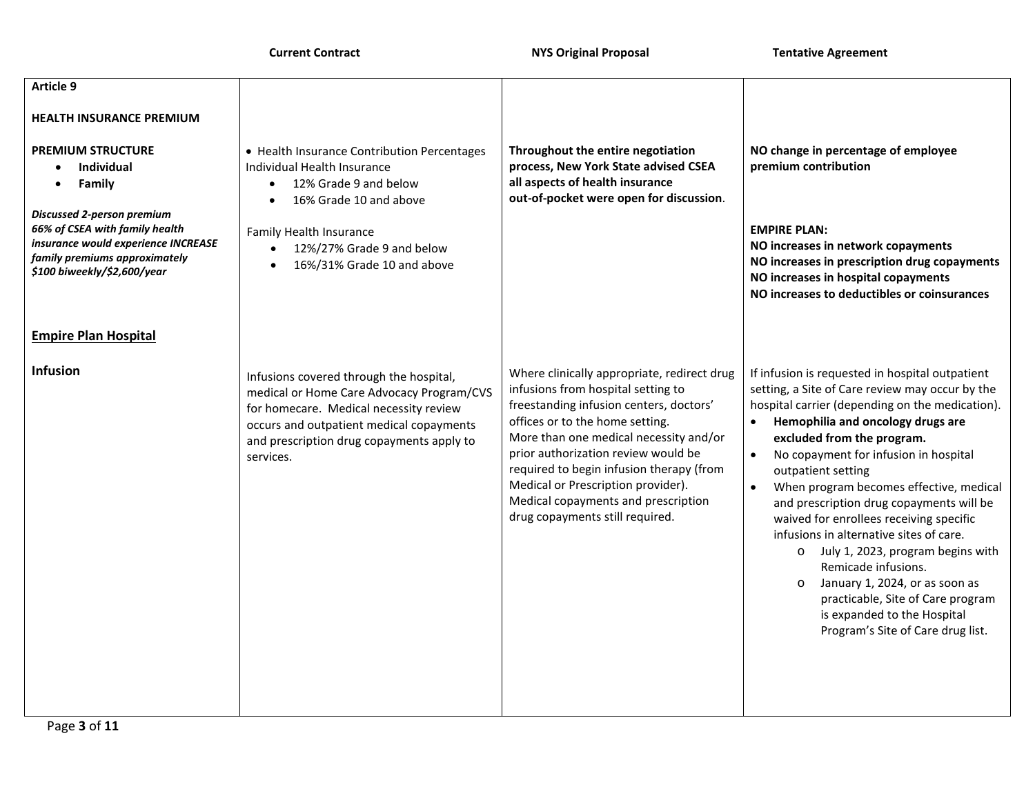**Current Contract Contract 2008 18 NYS Original Proposal Tentative Agreement** 

| Article 9                                                                                                                                                                                                           |                                                                                                                                                                                                                                      |                                                                                                                                                                                                                                                                                                                                                                                                              |                                                                                                                                                                                                                                                                                                                                                                                                                                                                                                                                                                                                                                                                                                       |
|---------------------------------------------------------------------------------------------------------------------------------------------------------------------------------------------------------------------|--------------------------------------------------------------------------------------------------------------------------------------------------------------------------------------------------------------------------------------|--------------------------------------------------------------------------------------------------------------------------------------------------------------------------------------------------------------------------------------------------------------------------------------------------------------------------------------------------------------------------------------------------------------|-------------------------------------------------------------------------------------------------------------------------------------------------------------------------------------------------------------------------------------------------------------------------------------------------------------------------------------------------------------------------------------------------------------------------------------------------------------------------------------------------------------------------------------------------------------------------------------------------------------------------------------------------------------------------------------------------------|
| <b>HEALTH INSURANCE PREMIUM</b>                                                                                                                                                                                     |                                                                                                                                                                                                                                      |                                                                                                                                                                                                                                                                                                                                                                                                              |                                                                                                                                                                                                                                                                                                                                                                                                                                                                                                                                                                                                                                                                                                       |
| <b>PREMIUM STRUCTURE</b><br><b>Individual</b><br>$\bullet$<br>Family<br><b>Discussed 2-person premium</b><br>66% of CSEA with family health<br>insurance would experience INCREASE<br>family premiums approximately | • Health Insurance Contribution Percentages<br>Individual Health Insurance<br>12% Grade 9 and below<br>16% Grade 10 and above<br>Family Health Insurance<br>12%/27% Grade 9 and below<br>$\bullet$                                   | Throughout the entire negotiation<br>process, New York State advised CSEA<br>all aspects of health insurance<br>out-of-pocket were open for discussion.                                                                                                                                                                                                                                                      | NO change in percentage of employee<br>premium contribution<br><b>EMPIRE PLAN:</b><br>NO increases in network copayments                                                                                                                                                                                                                                                                                                                                                                                                                                                                                                                                                                              |
| \$100 biweekly/\$2,600/year                                                                                                                                                                                         | 16%/31% Grade 10 and above                                                                                                                                                                                                           |                                                                                                                                                                                                                                                                                                                                                                                                              | NO increases in prescription drug copayments<br>NO increases in hospital copayments<br>NO increases to deductibles or coinsurances                                                                                                                                                                                                                                                                                                                                                                                                                                                                                                                                                                    |
| <b>Empire Plan Hospital</b>                                                                                                                                                                                         |                                                                                                                                                                                                                                      |                                                                                                                                                                                                                                                                                                                                                                                                              |                                                                                                                                                                                                                                                                                                                                                                                                                                                                                                                                                                                                                                                                                                       |
| <b>Infusion</b>                                                                                                                                                                                                     | Infusions covered through the hospital,<br>medical or Home Care Advocacy Program/CVS<br>for homecare. Medical necessity review<br>occurs and outpatient medical copayments<br>and prescription drug copayments apply to<br>services. | Where clinically appropriate, redirect drug<br>infusions from hospital setting to<br>freestanding infusion centers, doctors'<br>offices or to the home setting.<br>More than one medical necessity and/or<br>prior authorization review would be<br>required to begin infusion therapy (from<br>Medical or Prescription provider).<br>Medical copayments and prescription<br>drug copayments still required. | If infusion is requested in hospital outpatient<br>setting, a Site of Care review may occur by the<br>hospital carrier (depending on the medication).<br>Hemophilia and oncology drugs are<br>excluded from the program.<br>No copayment for infusion in hospital<br>$\bullet$<br>outpatient setting<br>When program becomes effective, medical<br>and prescription drug copayments will be<br>waived for enrollees receiving specific<br>infusions in alternative sites of care.<br>o July 1, 2023, program begins with<br>Remicade infusions.<br>January 1, 2024, or as soon as<br>$\circ$<br>practicable, Site of Care program<br>is expanded to the Hospital<br>Program's Site of Care drug list. |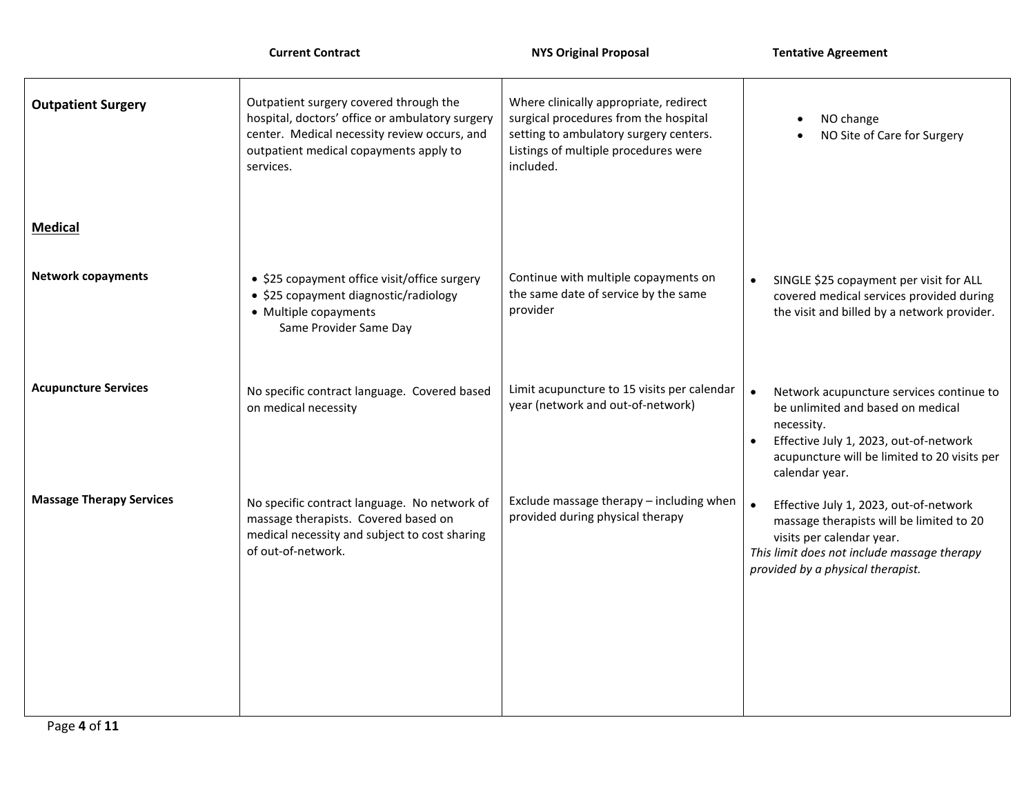|                                 | <b>Current Contract</b>                                                                                                                                                                          | <b>NYS Original Proposal</b>                                                                                                                                                   | <b>Tentative Agreement</b>                                                                                                                                                                                           |
|---------------------------------|--------------------------------------------------------------------------------------------------------------------------------------------------------------------------------------------------|--------------------------------------------------------------------------------------------------------------------------------------------------------------------------------|----------------------------------------------------------------------------------------------------------------------------------------------------------------------------------------------------------------------|
| <b>Outpatient Surgery</b>       | Outpatient surgery covered through the<br>hospital, doctors' office or ambulatory surgery<br>center. Medical necessity review occurs, and<br>outpatient medical copayments apply to<br>services. | Where clinically appropriate, redirect<br>surgical procedures from the hospital<br>setting to ambulatory surgery centers.<br>Listings of multiple procedures were<br>included. | NO change<br>NO Site of Care for Surgery                                                                                                                                                                             |
| <b>Medical</b>                  |                                                                                                                                                                                                  |                                                                                                                                                                                |                                                                                                                                                                                                                      |
| <b>Network copayments</b>       | • \$25 copayment office visit/office surgery<br>• \$25 copayment diagnostic/radiology<br>• Multiple copayments<br>Same Provider Same Day                                                         | Continue with multiple copayments on<br>the same date of service by the same<br>provider                                                                                       | SINGLE \$25 copayment per visit for ALL<br>$\bullet$<br>covered medical services provided during<br>the visit and billed by a network provider.                                                                      |
| <b>Acupuncture Services</b>     | No specific contract language. Covered based<br>on medical necessity                                                                                                                             | Limit acupuncture to 15 visits per calendar<br>year (network and out-of-network)                                                                                               | Network acupuncture services continue to<br>$\bullet$<br>be unlimited and based on medical<br>necessity.<br>Effective July 1, 2023, out-of-network<br>acupuncture will be limited to 20 visits per<br>calendar year. |
| <b>Massage Therapy Services</b> | No specific contract language. No network of<br>massage therapists. Covered based on<br>medical necessity and subject to cost sharing<br>of out-of-network.                                      | Exclude massage therapy - including when<br>provided during physical therapy                                                                                                   | $\bullet$<br>Effective July 1, 2023, out-of-network<br>massage therapists will be limited to 20<br>visits per calendar year.<br>This limit does not include massage therapy<br>provided by a physical therapist.     |
|                                 |                                                                                                                                                                                                  |                                                                                                                                                                                |                                                                                                                                                                                                                      |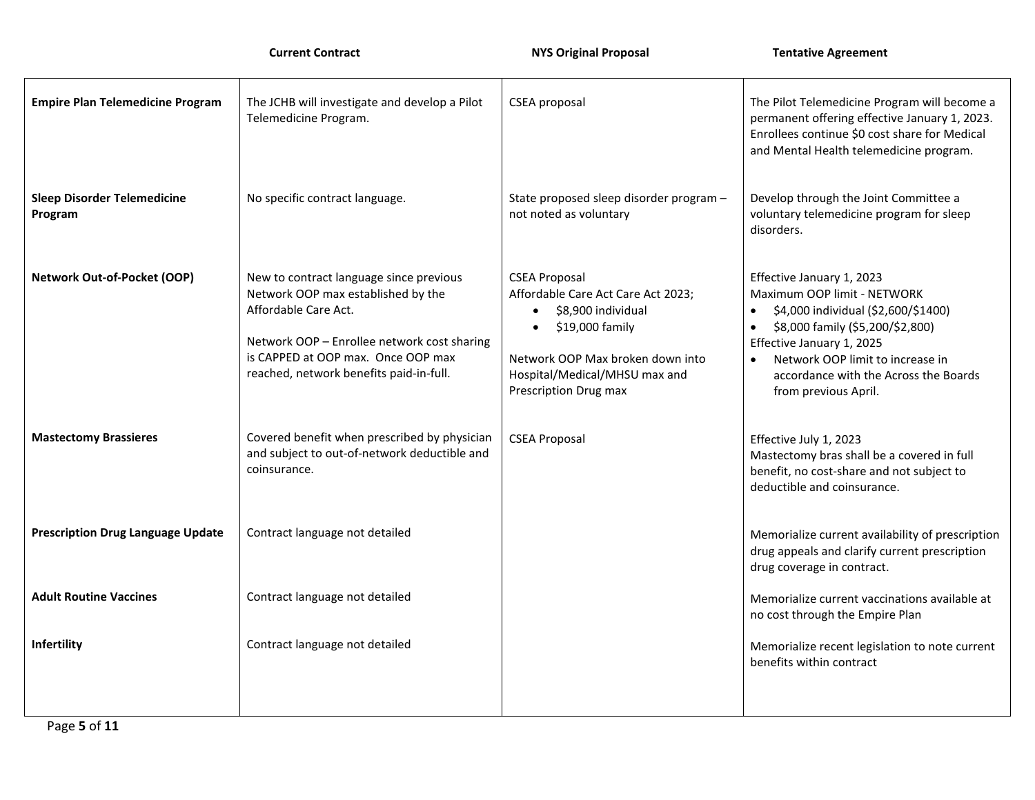| <b>Empire Plan Telemedicine Program</b>       | The JCHB will investigate and develop a Pilot<br>Telemedicine Program.                                                                                                                                                                | <b>CSEA</b> proposal                                                                                                                                                                                                     | The Pilot Telemedicine Program will become a<br>permanent offering effective January 1, 2023.<br>Enrollees continue \$0 cost share for Medical<br>and Mental Health telemedicine program.                                                                                          |
|-----------------------------------------------|---------------------------------------------------------------------------------------------------------------------------------------------------------------------------------------------------------------------------------------|--------------------------------------------------------------------------------------------------------------------------------------------------------------------------------------------------------------------------|------------------------------------------------------------------------------------------------------------------------------------------------------------------------------------------------------------------------------------------------------------------------------------|
| <b>Sleep Disorder Telemedicine</b><br>Program | No specific contract language.                                                                                                                                                                                                        | State proposed sleep disorder program -<br>not noted as voluntary                                                                                                                                                        | Develop through the Joint Committee a<br>voluntary telemedicine program for sleep<br>disorders.                                                                                                                                                                                    |
| <b>Network Out-of-Pocket (OOP)</b>            | New to contract language since previous<br>Network OOP max established by the<br>Affordable Care Act.<br>Network OOP - Enrollee network cost sharing<br>is CAPPED at OOP max. Once OOP max<br>reached, network benefits paid-in-full. | <b>CSEA Proposal</b><br>Affordable Care Act Care Act 2023;<br>$\bullet$ \$8,900 individual<br>\$19,000 family<br>$\bullet$<br>Network OOP Max broken down into<br>Hospital/Medical/MHSU max and<br>Prescription Drug max | Effective January 1, 2023<br>Maximum OOP limit - NETWORK<br>\$4,000 individual (\$2,600/\$1400)<br>\$8,000 family (\$5,200/\$2,800)<br>$\bullet$<br>Effective January 1, 2025<br>Network OOP limit to increase in<br>accordance with the Across the Boards<br>from previous April. |
| <b>Mastectomy Brassieres</b>                  | Covered benefit when prescribed by physician<br>and subject to out-of-network deductible and<br>coinsurance.                                                                                                                          | <b>CSEA Proposal</b>                                                                                                                                                                                                     | Effective July 1, 2023<br>Mastectomy bras shall be a covered in full<br>benefit, no cost-share and not subject to<br>deductible and coinsurance.                                                                                                                                   |
| <b>Prescription Drug Language Update</b>      | Contract language not detailed                                                                                                                                                                                                        |                                                                                                                                                                                                                          | Memorialize current availability of prescription<br>drug appeals and clarify current prescription<br>drug coverage in contract.                                                                                                                                                    |
| <b>Adult Routine Vaccines</b>                 | Contract language not detailed                                                                                                                                                                                                        |                                                                                                                                                                                                                          | Memorialize current vaccinations available at<br>no cost through the Empire Plan                                                                                                                                                                                                   |
| Infertility                                   | Contract language not detailed                                                                                                                                                                                                        |                                                                                                                                                                                                                          | Memorialize recent legislation to note current<br>benefits within contract                                                                                                                                                                                                         |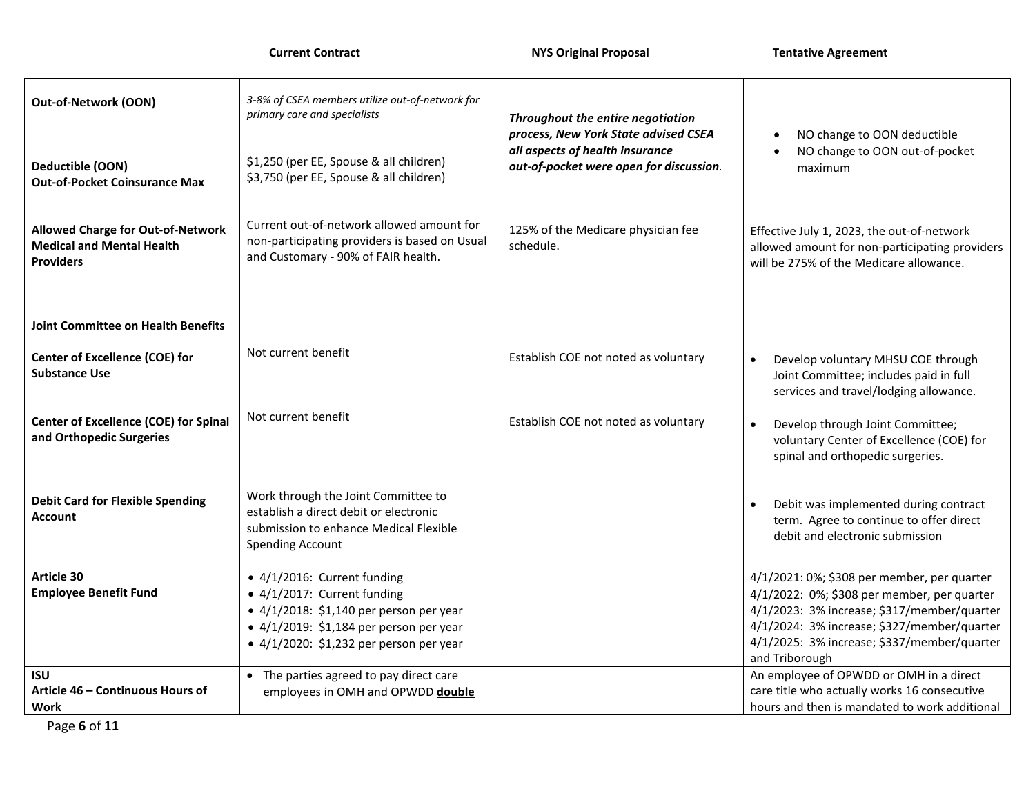|  | <b>Current Contract</b> |
|--|-------------------------|
|--|-------------------------|

| Out-of-Network (OON)                                                                      | 3-8% of CSEA members utilize out-of-network for<br>primary care and specialists                                                                                                                                             | Throughout the entire negotiation<br>process, New York State advised CSEA  | NO change to OON deductible                                                                                                                                                                                                                               |
|-------------------------------------------------------------------------------------------|-----------------------------------------------------------------------------------------------------------------------------------------------------------------------------------------------------------------------------|----------------------------------------------------------------------------|-----------------------------------------------------------------------------------------------------------------------------------------------------------------------------------------------------------------------------------------------------------|
| Deductible (OON)<br><b>Out-of-Pocket Coinsurance Max</b>                                  | \$1,250 (per EE, Spouse & all children)<br>\$3,750 (per EE, Spouse & all children)                                                                                                                                          | all aspects of health insurance<br>out-of-pocket were open for discussion. | NO change to OON out-of-pocket<br>maximum                                                                                                                                                                                                                 |
| Allowed Charge for Out-of-Network<br><b>Medical and Mental Health</b><br><b>Providers</b> | Current out-of-network allowed amount for<br>non-participating providers is based on Usual<br>and Customary - 90% of FAIR health.                                                                                           | 125% of the Medicare physician fee<br>schedule.                            | Effective July 1, 2023, the out-of-network<br>allowed amount for non-participating providers<br>will be 275% of the Medicare allowance.                                                                                                                   |
| <b>Joint Committee on Health Benefits</b>                                                 |                                                                                                                                                                                                                             |                                                                            |                                                                                                                                                                                                                                                           |
| <b>Center of Excellence (COE) for</b><br><b>Substance Use</b>                             | Not current benefit                                                                                                                                                                                                         | Establish COE not noted as voluntary                                       | Develop voluntary MHSU COE through<br>Joint Committee; includes paid in full<br>services and travel/lodging allowance.                                                                                                                                    |
| <b>Center of Excellence (COE) for Spinal</b><br>and Orthopedic Surgeries                  | Not current benefit                                                                                                                                                                                                         | Establish COE not noted as voluntary                                       | Develop through Joint Committee;<br>voluntary Center of Excellence (COE) for<br>spinal and orthopedic surgeries.                                                                                                                                          |
| <b>Debit Card for Flexible Spending</b><br><b>Account</b>                                 | Work through the Joint Committee to<br>establish a direct debit or electronic<br>submission to enhance Medical Flexible<br><b>Spending Account</b>                                                                          |                                                                            | Debit was implemented during contract<br>term. Agree to continue to offer direct<br>debit and electronic submission                                                                                                                                       |
| Article 30<br><b>Employee Benefit Fund</b>                                                | $\bullet$ 4/1/2016: Current funding<br>• 4/1/2017: Current funding<br>$\bullet$ 4/1/2018: \$1,140 per person per year<br>$\bullet$ 4/1/2019: \$1,184 per person per year<br>$\bullet$ 4/1/2020: \$1,232 per person per year |                                                                            | 4/1/2021: 0%; \$308 per member, per quarter<br>4/1/2022: 0%; \$308 per member, per quarter<br>4/1/2023: 3% increase; \$317/member/quarter<br>4/1/2024: 3% increase; \$327/member/quarter<br>4/1/2025: 3% increase; \$337/member/quarter<br>and Triborough |
| <b>ISU</b><br>Article 46 - Continuous Hours of<br><b>Work</b>                             | • The parties agreed to pay direct care<br>employees in OMH and OPWDD double                                                                                                                                                |                                                                            | An employee of OPWDD or OMH in a direct<br>care title who actually works 16 consecutive<br>hours and then is mandated to work additional                                                                                                                  |

Page **6** of **11**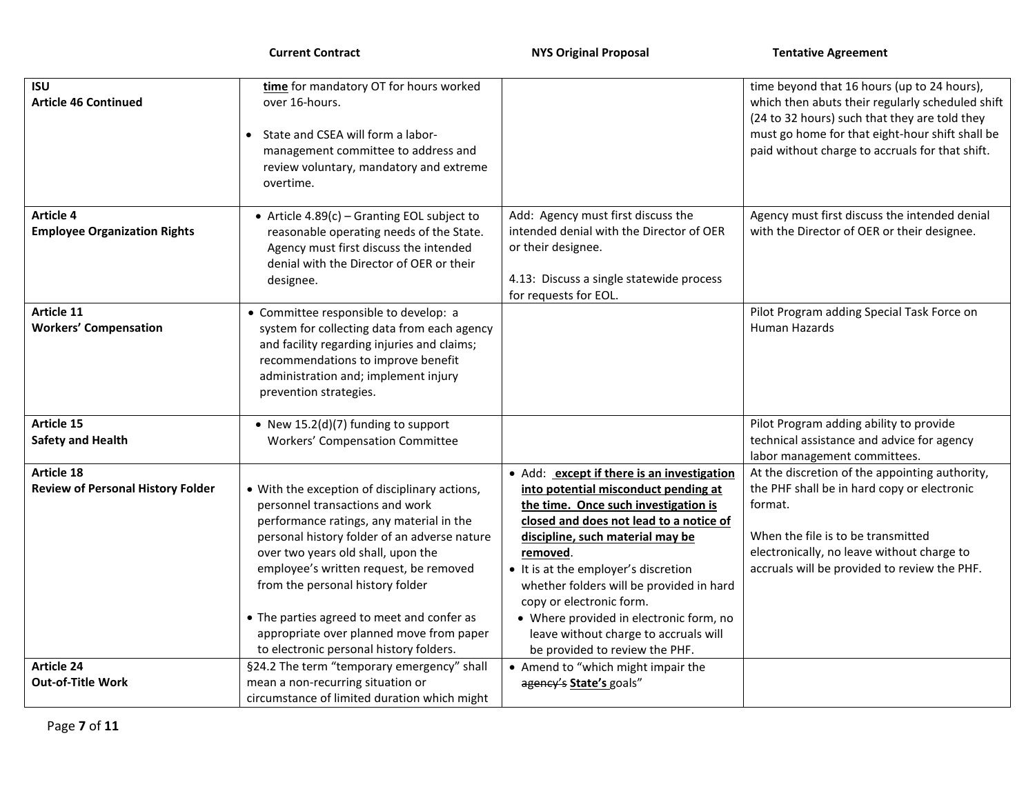| <b>ISU</b>                               | time for mandatory OT for hours worked                                                   |                                                                                  | time beyond that 16 hours (up to 24 hours),                                                      |
|------------------------------------------|------------------------------------------------------------------------------------------|----------------------------------------------------------------------------------|--------------------------------------------------------------------------------------------------|
| <b>Article 46 Continued</b>              | over 16-hours.                                                                           |                                                                                  | which then abuts their regularly scheduled shift                                                 |
|                                          | State and CSEA will form a labor-                                                        |                                                                                  | (24 to 32 hours) such that they are told they<br>must go home for that eight-hour shift shall be |
|                                          | management committee to address and                                                      |                                                                                  | paid without charge to accruals for that shift.                                                  |
|                                          | review voluntary, mandatory and extreme                                                  |                                                                                  |                                                                                                  |
|                                          | overtime.                                                                                |                                                                                  |                                                                                                  |
| <b>Article 4</b>                         | • Article $4.89(c)$ – Granting EOL subject to                                            | Add: Agency must first discuss the                                               | Agency must first discuss the intended denial                                                    |
| <b>Employee Organization Rights</b>      | reasonable operating needs of the State.                                                 | intended denial with the Director of OER                                         | with the Director of OER or their designee.                                                      |
|                                          | Agency must first discuss the intended                                                   | or their designee.                                                               |                                                                                                  |
|                                          | denial with the Director of OER or their<br>designee.                                    | 4.13: Discuss a single statewide process                                         |                                                                                                  |
|                                          |                                                                                          | for requests for EOL.                                                            |                                                                                                  |
| Article 11                               | • Committee responsible to develop: a                                                    |                                                                                  | Pilot Program adding Special Task Force on                                                       |
| <b>Workers' Compensation</b>             | system for collecting data from each agency                                              |                                                                                  | Human Hazards                                                                                    |
|                                          | and facility regarding injuries and claims;                                              |                                                                                  |                                                                                                  |
|                                          | recommendations to improve benefit<br>administration and; implement injury               |                                                                                  |                                                                                                  |
|                                          | prevention strategies.                                                                   |                                                                                  |                                                                                                  |
|                                          |                                                                                          |                                                                                  |                                                                                                  |
| Article 15                               | • New $15.2(d)(7)$ funding to support                                                    |                                                                                  | Pilot Program adding ability to provide                                                          |
| <b>Safety and Health</b>                 | Workers' Compensation Committee                                                          |                                                                                  | technical assistance and advice for agency<br>labor management committees.                       |
| Article 18                               |                                                                                          | • Add: except if there is an investigation                                       | At the discretion of the appointing authority,                                                   |
| <b>Review of Personal History Folder</b> | • With the exception of disciplinary actions,                                            | into potential misconduct pending at                                             | the PHF shall be in hard copy or electronic                                                      |
|                                          | personnel transactions and work                                                          | the time. Once such investigation is                                             | format.                                                                                          |
|                                          | performance ratings, any material in the<br>personal history folder of an adverse nature | closed and does not lead to a notice of<br>discipline, such material may be      | When the file is to be transmitted                                                               |
|                                          | over two years old shall, upon the                                                       | removed.                                                                         | electronically, no leave without charge to                                                       |
|                                          | employee's written request, be removed                                                   | • It is at the employer's discretion                                             | accruals will be provided to review the PHF.                                                     |
|                                          | from the personal history folder                                                         | whether folders will be provided in hard                                         |                                                                                                  |
|                                          |                                                                                          | copy or electronic form.                                                         |                                                                                                  |
|                                          | • The parties agreed to meet and confer as<br>appropriate over planned move from paper   | • Where provided in electronic form, no<br>leave without charge to accruals will |                                                                                                  |
|                                          | to electronic personal history folders.                                                  | be provided to review the PHF.                                                   |                                                                                                  |
| <b>Article 24</b>                        | §24.2 The term "temporary emergency" shall                                               | • Amend to "which might impair the                                               |                                                                                                  |
| <b>Out-of-Title Work</b>                 | mean a non-recurring situation or                                                        | agency's State's goals"                                                          |                                                                                                  |
|                                          | circumstance of limited duration which might                                             |                                                                                  |                                                                                                  |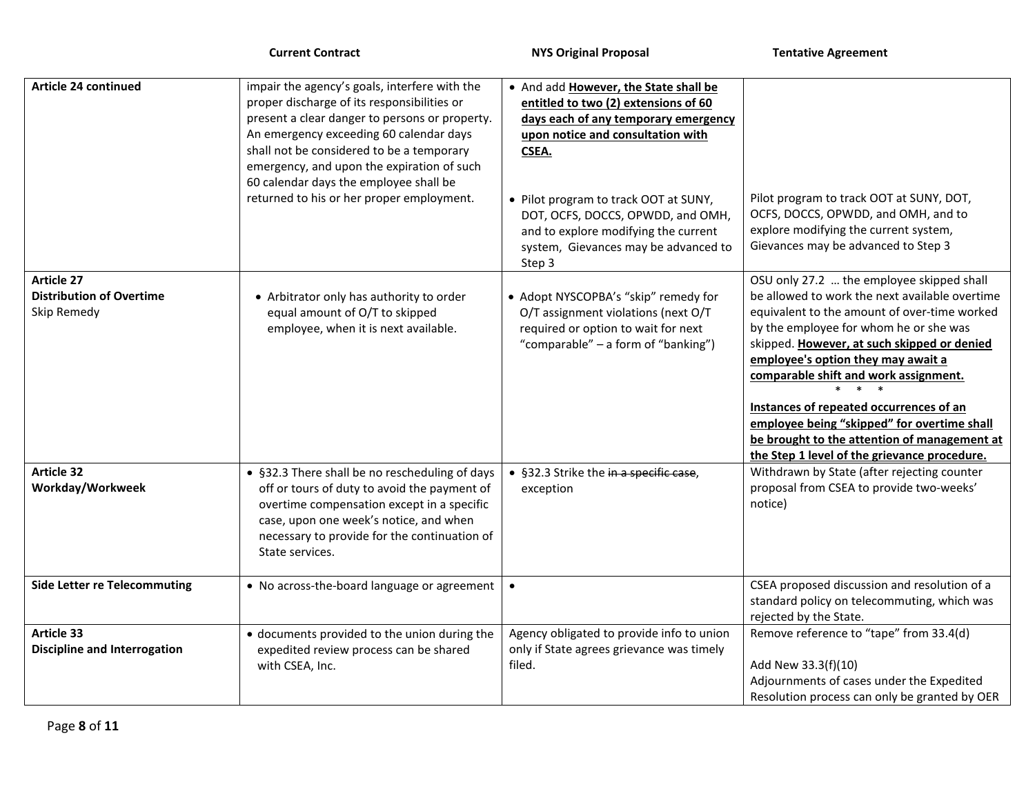**Current Contract Contract 2008 18 NYS Original Proposal Tentative Agreement** 

| <b>Article 24 continued</b>                                                                                  | impair the agency's goals, interfere with the<br>proper discharge of its responsibilities or<br>present a clear danger to persons or property.<br>An emergency exceeding 60 calendar days<br>shall not be considered to be a temporary<br>emergency, and upon the expiration of such<br>60 calendar days the employee shall be<br>returned to his or her proper employment. | . And add However, the State shall be<br>entitled to two (2) extensions of 60<br>days each of any temporary emergency<br>upon notice and consultation with<br>CSEA.<br>• Pilot program to track OOT at SUNY,<br>DOT, OCFS, DOCCS, OPWDD, and OMH,<br>and to explore modifying the current<br>system, Gievances may be advanced to | Pilot program to track OOT at SUNY, DOT,<br>OCFS, DOCCS, OPWDD, and OMH, and to<br>explore modifying the current system,<br>Gievances may be advanced to Step 3                                                                                                                                                                                                                                                                                                                                                                                                                                          |
|--------------------------------------------------------------------------------------------------------------|-----------------------------------------------------------------------------------------------------------------------------------------------------------------------------------------------------------------------------------------------------------------------------------------------------------------------------------------------------------------------------|-----------------------------------------------------------------------------------------------------------------------------------------------------------------------------------------------------------------------------------------------------------------------------------------------------------------------------------|----------------------------------------------------------------------------------------------------------------------------------------------------------------------------------------------------------------------------------------------------------------------------------------------------------------------------------------------------------------------------------------------------------------------------------------------------------------------------------------------------------------------------------------------------------------------------------------------------------|
|                                                                                                              |                                                                                                                                                                                                                                                                                                                                                                             | Step 3                                                                                                                                                                                                                                                                                                                            |                                                                                                                                                                                                                                                                                                                                                                                                                                                                                                                                                                                                          |
| <b>Article 27</b><br><b>Distribution of Overtime</b><br>Skip Remedy<br><b>Article 32</b><br>Workday/Workweek | • Arbitrator only has authority to order<br>equal amount of O/T to skipped<br>employee, when it is next available.<br>• §32.3 There shall be no rescheduling of days<br>off or tours of duty to avoid the payment of                                                                                                                                                        | • Adopt NYSCOPBA's "skip" remedy for<br>O/T assignment violations (next O/T<br>required or option to wait for next<br>"comparable" – a form of "banking")<br>• §32.3 Strike the in a specific case,<br>exception                                                                                                                  | OSU only 27.2  the employee skipped shall<br>be allowed to work the next available overtime<br>equivalent to the amount of over-time worked<br>by the employee for whom he or she was<br>skipped. However, at such skipped or denied<br>employee's option they may await a<br>comparable shift and work assignment.<br>Instances of repeated occurrences of an<br>employee being "skipped" for overtime shall<br>be brought to the attention of management at<br>the Step 1 level of the grievance procedure.<br>Withdrawn by State (after rejecting counter<br>proposal from CSEA to provide two-weeks' |
|                                                                                                              | overtime compensation except in a specific<br>case, upon one week's notice, and when<br>necessary to provide for the continuation of<br>State services.                                                                                                                                                                                                                     |                                                                                                                                                                                                                                                                                                                                   | notice)                                                                                                                                                                                                                                                                                                                                                                                                                                                                                                                                                                                                  |
| <b>Side Letter re Telecommuting</b>                                                                          | • No across-the-board language or agreement                                                                                                                                                                                                                                                                                                                                 | $\bullet$                                                                                                                                                                                                                                                                                                                         | CSEA proposed discussion and resolution of a<br>standard policy on telecommuting, which was<br>rejected by the State.                                                                                                                                                                                                                                                                                                                                                                                                                                                                                    |
| Article 33<br><b>Discipline and Interrogation</b>                                                            | · documents provided to the union during the<br>expedited review process can be shared<br>with CSEA, Inc.                                                                                                                                                                                                                                                                   | Agency obligated to provide info to union<br>only if State agrees grievance was timely<br>filed.                                                                                                                                                                                                                                  | Remove reference to "tape" from 33.4(d)<br>Add New 33.3(f)(10)<br>Adjournments of cases under the Expedited<br>Resolution process can only be granted by OER                                                                                                                                                                                                                                                                                                                                                                                                                                             |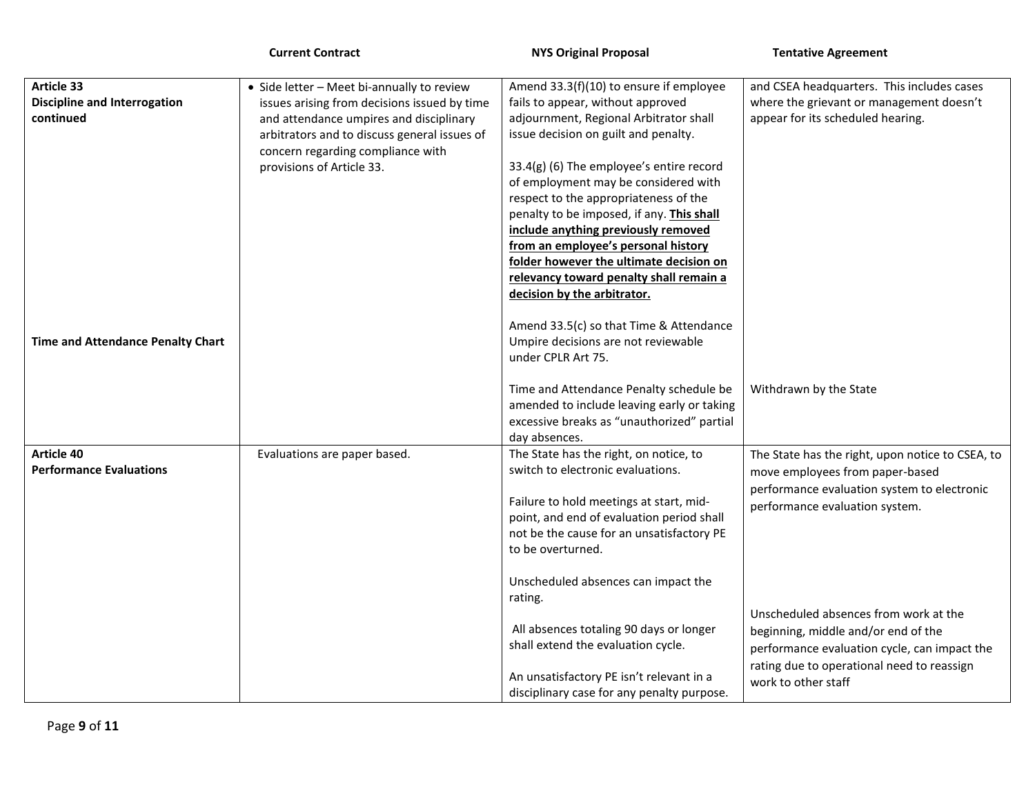|                                                  | <b>Current Contract</b>                                                                                                                                                                                   | <b>NYS Original Proposal</b>                                                                                                                                                                                                                                                                   | <b>Tentative Agreement</b>                                                                                                                                                 |
|--------------------------------------------------|-----------------------------------------------------------------------------------------------------------------------------------------------------------------------------------------------------------|------------------------------------------------------------------------------------------------------------------------------------------------------------------------------------------------------------------------------------------------------------------------------------------------|----------------------------------------------------------------------------------------------------------------------------------------------------------------------------|
| Article 33                                       | • Side letter - Meet bi-annually to review                                                                                                                                                                | Amend 33.3(f)(10) to ensure if employee                                                                                                                                                                                                                                                        | and CSEA headquarters. This includes cases                                                                                                                                 |
| <b>Discipline and Interrogation</b><br>continued | issues arising from decisions issued by time<br>and attendance umpires and disciplinary<br>arbitrators and to discuss general issues of<br>concern regarding compliance with<br>provisions of Article 33. | fails to appear, without approved<br>adjournment, Regional Arbitrator shall<br>issue decision on guilt and penalty.<br>33.4(g) (6) The employee's entire record                                                                                                                                | where the grievant or management doesn't<br>appear for its scheduled hearing.                                                                                              |
|                                                  |                                                                                                                                                                                                           | of employment may be considered with<br>respect to the appropriateness of the<br>penalty to be imposed, if any. This shall<br>include anything previously removed<br>from an employee's personal history<br>folder however the ultimate decision on<br>relevancy toward penalty shall remain a |                                                                                                                                                                            |
| Time and Attendance Penalty Chart                |                                                                                                                                                                                                           | decision by the arbitrator.<br>Amend 33.5(c) so that Time & Attendance<br>Umpire decisions are not reviewable<br>under CPLR Art 75.                                                                                                                                                            |                                                                                                                                                                            |
|                                                  |                                                                                                                                                                                                           | Time and Attendance Penalty schedule be<br>amended to include leaving early or taking<br>excessive breaks as "unauthorized" partial<br>day absences.                                                                                                                                           | Withdrawn by the State                                                                                                                                                     |
| Article 40<br><b>Performance Evaluations</b>     | Evaluations are paper based.                                                                                                                                                                              | The State has the right, on notice, to<br>switch to electronic evaluations.                                                                                                                                                                                                                    | The State has the right, upon notice to CSEA, to<br>move employees from paper-based                                                                                        |
|                                                  |                                                                                                                                                                                                           | Failure to hold meetings at start, mid-<br>point, and end of evaluation period shall<br>not be the cause for an unsatisfactory PE<br>to be overturned.                                                                                                                                         | performance evaluation system to electronic<br>performance evaluation system.                                                                                              |
|                                                  |                                                                                                                                                                                                           | Unscheduled absences can impact the<br>rating.                                                                                                                                                                                                                                                 |                                                                                                                                                                            |
|                                                  |                                                                                                                                                                                                           | All absences totaling 90 days or longer<br>shall extend the evaluation cycle.                                                                                                                                                                                                                  | Unscheduled absences from work at the<br>beginning, middle and/or end of the<br>performance evaluation cycle, can impact the<br>rating due to operational need to reassign |
|                                                  |                                                                                                                                                                                                           | An unsatisfactory PE isn't relevant in a<br>disciplinary case for any penalty purpose.                                                                                                                                                                                                         | work to other staff                                                                                                                                                        |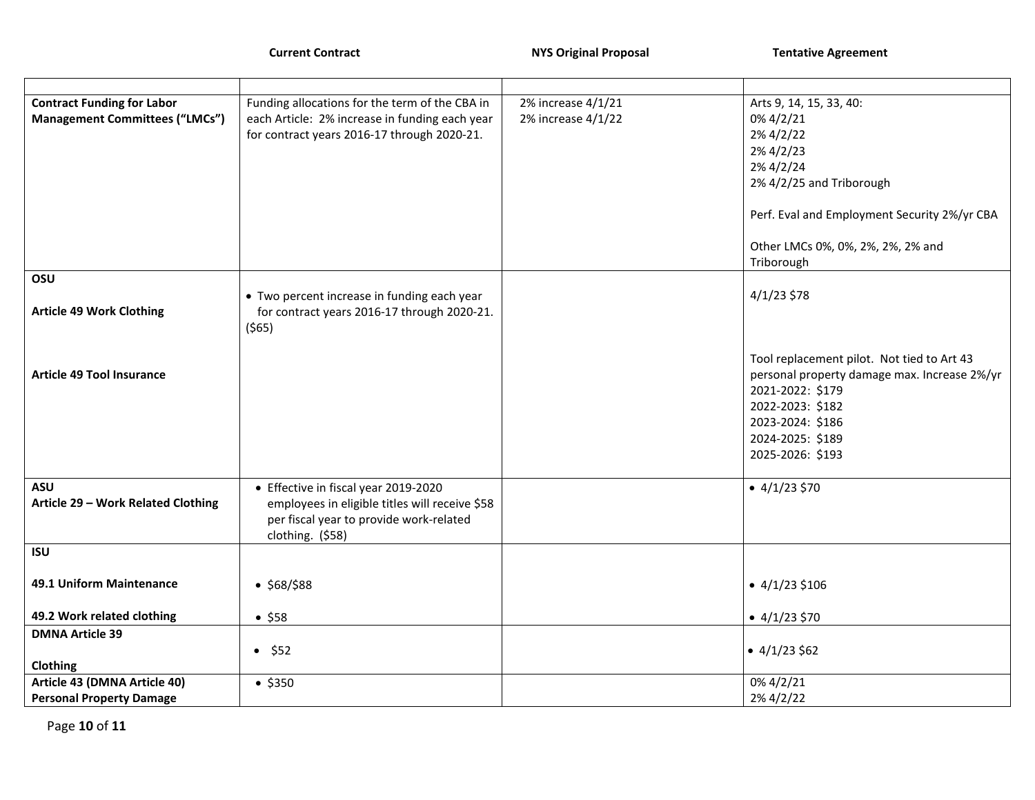**Current Contract Contract 2006 100 NYS Original Proposal Tentative Agreement** 

| <b>Contract Funding for Labor</b>                | Funding allocations for the term of the CBA in                                                                                                        | 2% increase 4/1/21 | Arts 9, 14, 15, 33, 40:                                                                                                                                                                        |
|--------------------------------------------------|-------------------------------------------------------------------------------------------------------------------------------------------------------|--------------------|------------------------------------------------------------------------------------------------------------------------------------------------------------------------------------------------|
| <b>Management Committees ("LMCs")</b>            | each Article: 2% increase in funding each year<br>for contract years 2016-17 through 2020-21.                                                         | 2% increase 4/1/22 | 0% 4/2/21<br>2% 4/2/22                                                                                                                                                                         |
|                                                  |                                                                                                                                                       |                    | 2% 4/2/23                                                                                                                                                                                      |
|                                                  |                                                                                                                                                       |                    | 2% 4/2/24                                                                                                                                                                                      |
|                                                  |                                                                                                                                                       |                    | 2% 4/2/25 and Triborough                                                                                                                                                                       |
|                                                  |                                                                                                                                                       |                    | Perf. Eval and Employment Security 2%/yr CBA                                                                                                                                                   |
|                                                  |                                                                                                                                                       |                    | Other LMCs 0%, 0%, 2%, 2%, 2% and                                                                                                                                                              |
|                                                  |                                                                                                                                                       |                    | Triborough                                                                                                                                                                                     |
| OSU                                              |                                                                                                                                                       |                    |                                                                                                                                                                                                |
| <b>Article 49 Work Clothing</b>                  | • Two percent increase in funding each year<br>for contract years 2016-17 through 2020-21.<br>$($ \$65)                                               |                    | $4/1/23$ \$78                                                                                                                                                                                  |
| <b>Article 49 Tool Insurance</b>                 |                                                                                                                                                       |                    | Tool replacement pilot. Not tied to Art 43<br>personal property damage max. Increase 2%/yr<br>2021-2022: \$179<br>2022-2023: \$182<br>2023-2024: \$186<br>2024-2025: \$189<br>2025-2026: \$193 |
| <b>ASU</b><br>Article 29 - Work Related Clothing | • Effective in fiscal year 2019-2020<br>employees in eligible titles will receive \$58<br>per fiscal year to provide work-related<br>clothing. (\$58) |                    | $\bullet$ 4/1/23 \$70                                                                                                                                                                          |
| <b>ISU</b>                                       |                                                                                                                                                       |                    |                                                                                                                                                                                                |
| 49.1 Uniform Maintenance                         | • \$68/ \$88                                                                                                                                          |                    | $\bullet$ 4/1/23 \$106                                                                                                                                                                         |
| 49.2 Work related clothing                       | • \$58                                                                                                                                                |                    | $\bullet$ 4/1/23 \$70                                                                                                                                                                          |
| <b>DMNA Article 39</b>                           |                                                                                                                                                       |                    |                                                                                                                                                                                                |
|                                                  | • 552                                                                                                                                                 |                    | • $4/1/23$ \$62                                                                                                                                                                                |
| <b>Clothing</b><br>Article 43 (DMNA Article 40)  |                                                                                                                                                       |                    | 0% 4/2/21                                                                                                                                                                                      |
| <b>Personal Property Damage</b>                  | • \$350                                                                                                                                               |                    | 2% 4/2/22                                                                                                                                                                                      |
|                                                  |                                                                                                                                                       |                    |                                                                                                                                                                                                |

Page **10** of **11**